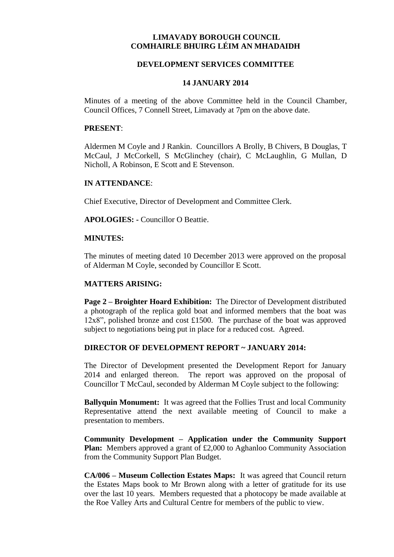# **LIMAVADY BOROUGH COUNCIL COMHAIRLE BHUIRG LÉIM AN MHADAIDH**

## **DEVELOPMENT SERVICES COMMITTEE**

#### **14 JANUARY 2014**

Minutes of a meeting of the above Committee held in the Council Chamber, Council Offices, 7 Connell Street, Limavady at 7pm on the above date.

#### **PRESENT**:

Aldermen M Coyle and J Rankin. Councillors A Brolly, B Chivers, B Douglas, T McCaul, J McCorkell, S McGlinchey (chair), C McLaughlin, G Mullan, D Nicholl, A Robinson, E Scott and E Stevenson.

### **IN ATTENDANCE**:

Chief Executive, Director of Development and Committee Clerk.

**APOLOGIES: -** Councillor O Beattie.

### **MINUTES:**

The minutes of meeting dated 10 December 2013 were approved on the proposal of Alderman M Coyle, seconded by Councillor E Scott.

## **MATTERS ARISING:**

**Page 2 – Broighter Hoard Exhibition:** The Director of Development distributed a photograph of the replica gold boat and informed members that the boat was 12x8", polished bronze and cost £1500. The purchase of the boat was approved subject to negotiations being put in place for a reduced cost. Agreed.

## **DIRECTOR OF DEVELOPMENT REPORT ~ JANUARY 2014:**

The Director of Development presented the Development Report for January 2014 and enlarged thereon. The report was approved on the proposal of Councillor T McCaul, seconded by Alderman M Coyle subject to the following:

**Ballyquin Monument:** It was agreed that the Follies Trust and local Community Representative attend the next available meeting of Council to make a presentation to members.

**Community Development – Application under the Community Support Plan:** Members approved a grant of £2,000 to Aghanloo Community Association from the Community Support Plan Budget.

**CA/006 – Museum Collection Estates Maps:** It was agreed that Council return the Estates Maps book to Mr Brown along with a letter of gratitude for its use over the last 10 years. Members requested that a photocopy be made available at the Roe Valley Arts and Cultural Centre for members of the public to view.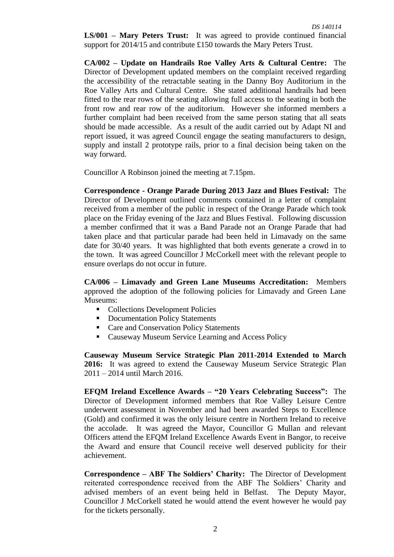**LS/001 – Mary Peters Trust:** It was agreed to provide continued financial support for 2014/15 and contribute £150 towards the Mary Peters Trust.

**CA/002 – Update on Handrails Roe Valley Arts & Cultural Centre:** The Director of Development updated members on the complaint received regarding the accessibility of the retractable seating in the Danny Boy Auditorium in the Roe Valley Arts and Cultural Centre. She stated additional handrails had been fitted to the rear rows of the seating allowing full access to the seating in both the front row and rear row of the auditorium. However she informed members a further complaint had been received from the same person stating that all seats should be made accessible. As a result of the audit carried out by Adapt NI and report issued, it was agreed Council engage the seating manufacturers to design, supply and install 2 prototype rails, prior to a final decision being taken on the way forward.

Councillor A Robinson joined the meeting at 7.15pm.

**Correspondence - Orange Parade During 2013 Jazz and Blues Festival:** The Director of Development outlined comments contained in a letter of complaint received from a member of the public in respect of the Orange Parade which took place on the Friday evening of the Jazz and Blues Festival. Following discussion a member confirmed that it was a Band Parade not an Orange Parade that had taken place and that particular parade had been held in Limavady on the same date for 30/40 years. It was highlighted that both events generate a crowd in to the town. It was agreed Councillor J McCorkell meet with the relevant people to ensure overlaps do not occur in future.

**CA/006 – Limavady and Green Lane Museums Accreditation:** Members approved the adoption of the following policies for Limavady and Green Lane Museums:

- Collections Development Policies
- Documentation Policy Statements
- Care and Conservation Policy Statements
- Causeway Museum Service Learning and Access Policy

**Causeway Museum Service Strategic Plan 2011-2014 Extended to March 2016:** It was agreed to extend the Causeway Museum Service Strategic Plan 2011 – 2014 until March 2016.

**EFQM Ireland Excellence Awards – "20 Years Celebrating Success":** The Director of Development informed members that Roe Valley Leisure Centre underwent assessment in November and had been awarded Steps to Excellence (Gold) and confirmed it was the only leisure centre in Northern Ireland to receive the accolade. It was agreed the Mayor, Councillor G Mullan and relevant Officers attend the EFQM Ireland Excellence Awards Event in Bangor, to receive the Award and ensure that Council receive well deserved publicity for their achievement.

**Correspondence – ABF The Soldiers' Charity:** The Director of Development reiterated correspondence received from the ABF The Soldiers' Charity and advised members of an event being held in Belfast. The Deputy Mayor, Councillor J McCorkell stated he would attend the event however he would pay for the tickets personally.